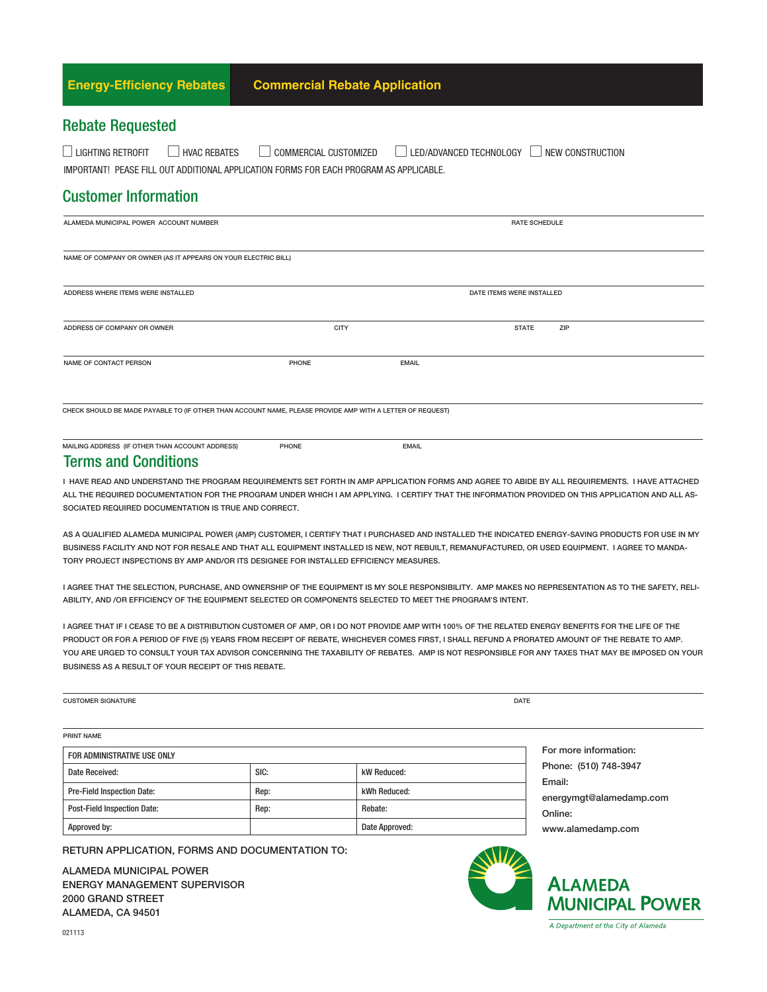| <b>Energy-Efficiency Rebates</b>                                                                                                                | <b>Commercial Rebate Application</b> |                                             |  |
|-------------------------------------------------------------------------------------------------------------------------------------------------|--------------------------------------|---------------------------------------------|--|
| <b>Rebate Requested</b>                                                                                                                         |                                      |                                             |  |
| $\Box$ LIGHTING RETROFIT<br><b>HVAC REBATES</b><br>工工<br>IMPORTANT! PEASE FILL OUT ADDITIONAL APPLICATION FORMS FOR EACH PROGRAM AS APPLICABLE. | COMMERCIAL CUSTOMIZED                | LED/ADVANCED TECHNOLOGY<br>NEW CONSTRUCTION |  |
| <b>Customer Information</b>                                                                                                                     |                                      |                                             |  |
| ALAMEDA MUNICIPAL POWER ACCOUNT NUMBER                                                                                                          |                                      | <b>RATE SCHEDULE</b>                        |  |
| NAME OF COMPANY OR OWNER (AS IT APPEARS ON YOUR ELECTRIC BILL)                                                                                  |                                      |                                             |  |
| ADDRESS WHERE ITEMS WERE INSTALLED                                                                                                              |                                      | DATE ITEMS WERE INSTALLED                   |  |
| ADDRESS OF COMPANY OR OWNER                                                                                                                     | <b>CITY</b>                          | <b>STATE</b><br>ZIP                         |  |
| <b>NAME OF CONTACT PERSON</b>                                                                                                                   | <b>PHONE</b>                         | <b>EMAIL</b>                                |  |
| CHECK SHOULD BE MADE PAYABLE TO (IF OTHER THAN ACCOUNT NAME, PLEASE PROVIDE AMP WITH A LETTER OF REQUEST)                                       |                                      |                                             |  |

MAILING ADDRESS (IF OTHER THAN ACCOUNT ADDRESS) PHONE PHONE

#### Terms and Conditions

I HAVE READ AND UNDERSTAND THE PROGRAM REQUIREMENTS SET FORTH IN AMP APPLICATION FORMS AND AGREE TO ABIDE BY ALL REQUIREMENTS. I HAVE ATTACHED ALL THE REQUIRED DOCUMENTATION FOR THE PROGRAM UNDER WHICH I AM APPLYING. I CERTIFY THAT THE INFORMATION PROVIDED ON THIS APPLICATION AND ALL AS-SOCIATED REQUIRED DOCUMENTATION IS TRUE AND CORRECT.

AS A QUALIFIED ALAMEDA MUNICIPAL POWER (AMP) CUSTOMER, I CERTIFY THAT I PURCHASED AND INSTALLED THE INDICATED ENERGY-SAVING PRODUCTS FOR USE IN MY BUSINESS FACILITY AND NOT FOR RESALE AND THAT ALL EQUIPMENT INSTALLED IS NEW, NOT REBUILT, REMANUFACTURED, OR USED EQUIPMENT. I AGREE TO MANDA-TORY PROJECT INSPECTIONS BY AMP AND/OR ITS DESIGNEE FOR INSTALLED EFFICIENCY MEASURES.

I AGREE THAT THE SELECTION, PURCHASE, AND OWNERSHIP OF THE EQUIPMENT IS MY SOLE RESPONSIBILITY. AMP MAKES NO REPRESENTATION AS TO THE SAFETY, RELI-ABILITY, AND /OR EFFICIENCY OF THE EQUIPMENT SELECTED OR COMPONENTS SELECTED TO MEET THE PROGRAM'S INTENT.

I AGREE THAT IF I CEASE TO BE A DISTRIBUTION CUSTOMER OF AMP, OR I DO NOT PROVIDE AMP WITH 100% OF THE RELATED ENERGY BENEFITS FOR THE LIFE OF THE PRODUCT OR FOR A PERIOD OF FIVE (5) YEARS FROM RECEIPT OF REBATE, WHICHEVER COMES FIRST, I SHALL REFUND A PRORATED AMOUNT OF THE REBATE TO AMP. YOU ARE URGED TO CONSULT YOUR TAX ADVISOR CONCERNING THE TAXABILITY OF REBATES. AMP IS NOT RESPONSIBLE FOR ANY TAXES THAT MAY BE IMPOSED ON YOUR BUSINESS AS A RESULT OF YOUR RECEIPT OF THIS REBATE.

| <b>CUSTOMER SIGNATURE</b> | DATE |
|---------------------------|------|
|                           |      |
|                           |      |

PRINT NAME

## FOR ADMINISTRATIVE USE ONLY Date Received: SIC: SIC: Notice and SIC: Notice All SIC: Notice All SIC: Notice All SIC: Notice All SIC: Notice All SIC: Notice All SIC: Notice All SIC: Notice All SIC: Notice All SIC: Notice All SIC: Notice All SIC: Notic Pre-Field Inspection Date: <br> Rep: <br> Rep: <br> Rep: <br> Rep: <br> Rep: <br> Rep: <br> Rep: <br> Rep: <br> Rep: <br> Rep: <br> Rep: <br> Rep: <br> Rep: <br> Rep: <br> Rep: <br> Rep: <br> Rep: <br> Rep: <br> Rep: <br> Rep: <br> Rep: <br> Rep: <br> Rep: <br> Rep: <br><br><br><br><br><br><br><br><br><br><br><br><br><br><br><br><br><br><br><br><br> Post-Field Inspection Date: Rep: Rebate: Rep: Rebate: Approved by: and a proved: Date Approved:  $\blacksquare$

RETURN APPLICATION, FORMS AND DOCUMENTATION TO:

ALAMEDA MUNICIPAL POWER ENERGY MANAGEMENT SUPERVISOR 2000 GRAND STREET ALAMEDA, CA 94501



# **ALAMEDA MUNICIPAL POWER**

A Department of the City of Alameda

For more information: Phone: (510) 748-3947

www.alamedamp.com

energymgt@alamedamp.com

Email:

Online: